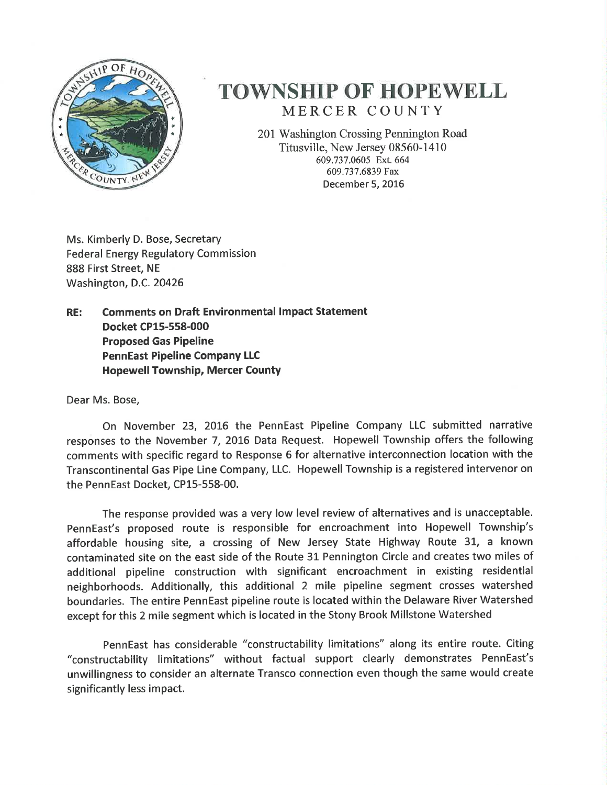

## **TOWNSHIP OF HOPEWELL** MERCER COUNTY

201 Washington Crossing Pennington Road Titusville, New Jersey 08560-1410 609.737.0605 Ext. 664 609.737.6839 Fax December 5, 2016

Ms. Kimberly D. Bose, Secretary **Federal Energy Regulatory Commission** 888 First Street, NE Washington, D.C. 20426

**Comments on Draft Environmental Impact Statement** RE: Docket CP15-558-000 **Proposed Gas Pipeline PennEast Pipeline Company LLC Hopewell Township, Mercer County** 

Dear Ms. Bose,

On November 23, 2016 the PennEast Pipeline Company LLC submitted narrative responses to the November 7, 2016 Data Request. Hopewell Township offers the following comments with specific regard to Response 6 for alternative interconnection location with the Transcontinental Gas Pipe Line Company, LLC. Hopewell Township is a registered intervenor on the PennEast Docket, CP15-558-00.

The response provided was a very low level review of alternatives and is unacceptable. PennEast's proposed route is responsible for encroachment into Hopewell Township's affordable housing site, a crossing of New Jersey State Highway Route 31, a known contaminated site on the east side of the Route 31 Pennington Circle and creates two miles of additional pipeline construction with significant encroachment in existing residential neighborhoods. Additionally, this additional 2 mile pipeline segment crosses watershed boundaries. The entire PennEast pipeline route is located within the Delaware River Watershed except for this 2 mile segment which is located in the Stony Brook Millstone Watershed

PennEast has considerable "constructability limitations" along its entire route. Citing "constructability limitations" without factual support clearly demonstrates PennEast's unwillingness to consider an alternate Transco connection even though the same would create significantly less impact.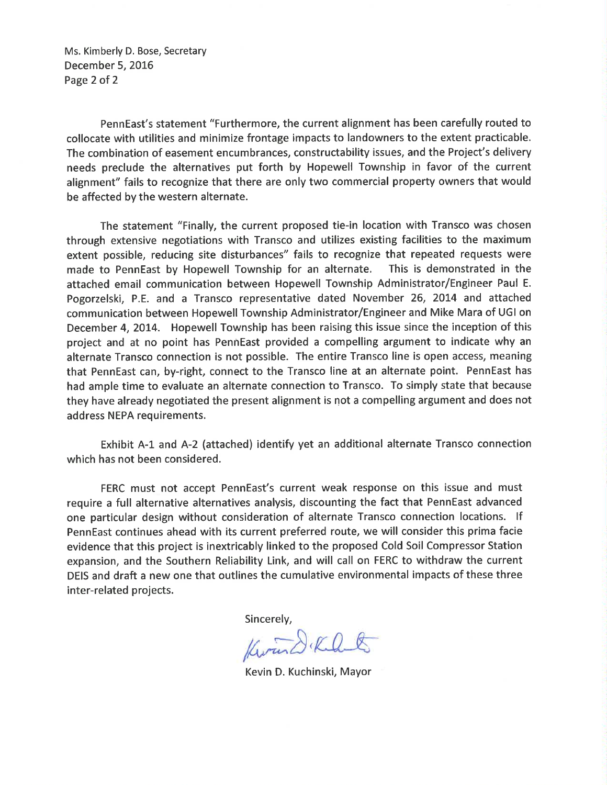Ms. Kimberly D. Bose, Secretary December 5, 2016 Page 2 of 2

PennEast's statement "Furthermore, the current alignment has been carefully routed to collocate with utilities and minimize frontage impacts to landowners to the extent practicable. The combination of easement encumbrances, constructability issues, and the Project's delivery needs preclude the alternatives put forth by Hopewell Township in favor of the current alignment" fails to recognize that there are only two commercial property owners that would be affected by the western alternate.

The statement "Finally, the current proposed tie-in location with Transco was chosen through extensive negotiations with Transco and utilizes existing facilities to the maximum extent possible, reducing site disturbances" fails to recognize that repeated requests were made to PennEast by Hopewell Township for an alternate. This is demonstrated in the attached email communication between Hopewell Township Administrator/Engineer Paul E. Pogorzelski, P.E. and a Transco representative dated November 26, 2014 and attached communication between Hopewell Township Administrator/Engineer and Mike Mara of UGI on December 4, 2014. Hopewell Township has been raising this issue since the inception of this project and at no point has PennEast provided a compelling argument to indicate why an alternate Transco connection is not possible. The entire Transco line is open access, meaning that PennEast can, by-right, connect to the Transco line at an alternate point. PennEast has had ample time to evaluate an alternate connection to Transco. To simply state that because they have already negotiated the present alignment is not a compelling argument and does not address NEPA requirements.

Exhibit A-1 and A-2 (attached) identify yet an additional alternate Transco connection which has not been considered.

FERC must not accept PennEast's current weak response on this issue and must require a full alternative alternatives analysis, discounting the fact that PennEast advanced one particular design without consideration of alternate Transco connection locations. If PennEast continues ahead with its current preferred route, we will consider this prima facie evidence that this project is inextricably linked to the proposed Cold Soil Compressor Station expansion, and the Southern Reliability Link, and will call on FERC to withdraw the current DEIS and draft a new one that outlines the cumulative environmental impacts of these three inter-related projects.

Sincerely,

Kwand Klat

Kevin D. Kuchinski, Mayor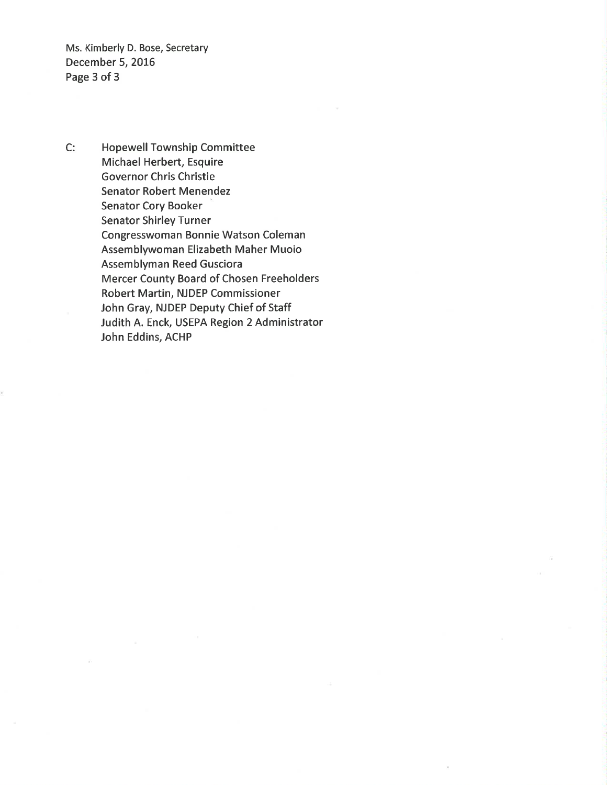Ms. Kimberly D. Bose, Secretary December 5, 2016 Page 3 of 3

 $C:$ **Hopewell Township Committee** Michael Herbert, Esquire **Governor Chris Christie Senator Robert Menendez Senator Cory Booker Senator Shirley Turner** Congresswoman Bonnie Watson Coleman Assemblywoman Elizabeth Maher Muoio **Assemblyman Reed Gusciora** Mercer County Board of Chosen Freeholders Robert Martin, NJDEP Commissioner John Gray, NJDEP Deputy Chief of Staff Judith A. Enck, USEPA Region 2 Administrator John Eddins, ACHP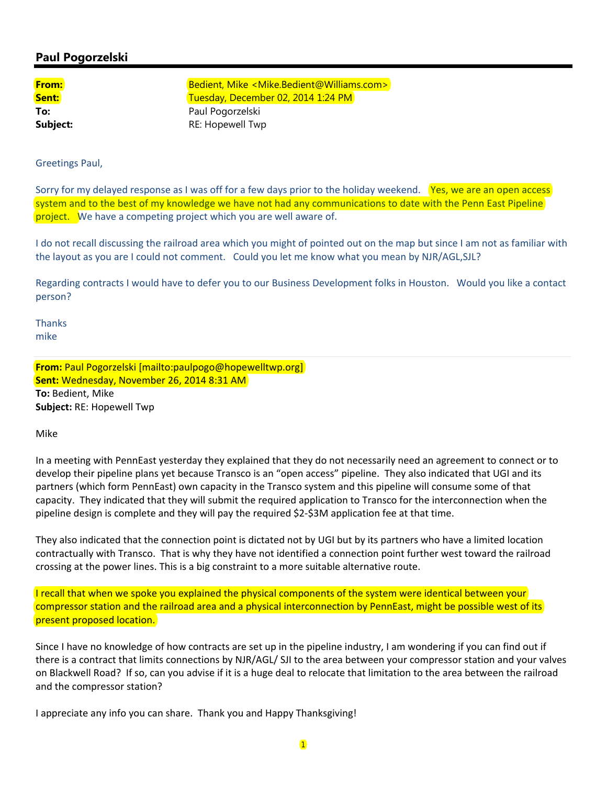## **Paul Pogorzelski**

**From: Bedient, Mike <Mike.Bedient@Williams.com> Sent:** Sent: Tuesday, December 02, 2014 1:24 PM **To:** Paul Pogorzelski **Subject:** RE: Hopewell Twp

Greetings Paul,

Sorry for my delayed response as I was off for a few days prior to the holiday weekend. **Yes, we are an open access** system and to the best of my knowledge we have not had any communications to date with the Penn East Pipeline project. We have a competing project which you are well aware of.

I do not recall discussing the railroad area which you might of pointed out on the map but since I am not as familiar with the layout as you are I could not comment. Could you let me know what you mean by NJR/AGL,SJL?

Regarding contracts I would have to defer you to our Business Development folks in Houston. Would you like a contact person?

Thanks mike

**From:** Paul Pogorzelski [mailto:paulpogo@hopewelltwp.org] **Sent:** Wednesday, November 26, 2014 8:31 AM **To:** Bedient, Mike **Subject:** RE: Hopewell Twp

Mike

In a meeting with PennEast yesterday they explained that they do not necessarily need an agreement to connect or to develop their pipeline plans yet because Transco is an "open access" pipeline. They also indicated that UGI and its partners (which form PennEast) own capacity in the Transco system and this pipeline will consume some of that capacity. They indicated that they will submit the required application to Transco for the interconnection when the pipeline design is complete and they will pay the required \$2‐\$3M application fee at that time.

They also indicated that the connection point is dictated not by UGI but by its partners who have a limited location contractually with Transco. That is why they have not identified a connection point further west toward the railroad crossing at the power lines. This is a big constraint to a more suitable alternative route.

I recall that when we spoke you explained the physical components of the system were identical between your compressor station and the railroad area and a physical interconnection by PennEast, might be possible west of its present proposed location.

Since I have no knowledge of how contracts are set up in the pipeline industry, I am wondering if you can find out if there is a contract that limits connections by NJR/AGL/ SJI to the area between your compressor station and your valves on Blackwell Road? If so, can you advise if it is a huge deal to relocate that limitation to the area between the railroad and the compressor station?

I appreciate any info you can share. Thank you and Happy Thanksgiving!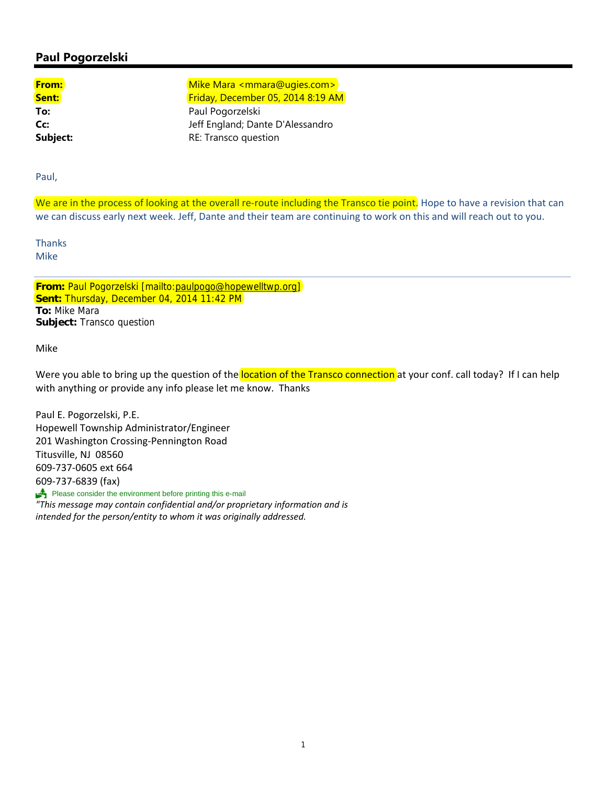## **Paul Pogorzelski**

**From:** The Mike Mara <mmara@ugies.com> Sent: **Sent: Friday, December 05, 2014 8:19 AM To:** Paul Pogorzelski **Cc:** Jeff England; Dante D'Alessandro **Subject:** RE: Transco question

Paul,

We are in the process of looking at the overall re-route including the Transco tie point. Hope to have a revision that can we can discuss early next week. Jeff, Dante and their team are continuing to work on this and will reach out to you.

**Thanks** Mike

**From:** Paul Pogorzelski [mailto:paulpogo@hopewelltwp.org] **Sent:** Thursday, December 04, 2014 11:42 PM **To:** Mike Mara **Subject:** Transco question

Mike

Were you able to bring up the question of the location of the Transco connection at your conf. call today? If I can help with anything or provide any info please let me know. Thanks

Paul E. Pogorzelski, P.E. Hopewell Township Administrator/Engineer 201 Washington Crossing‐Pennington Road Titusville, NJ 08560 609‐737‐0605 ext 664 609‐737‐6839 (fax) Please consider the environment before printing this e-mail

*"This message may contain confidential and/or proprietary information and is intended for the person/entity to whom it was originally addressed.*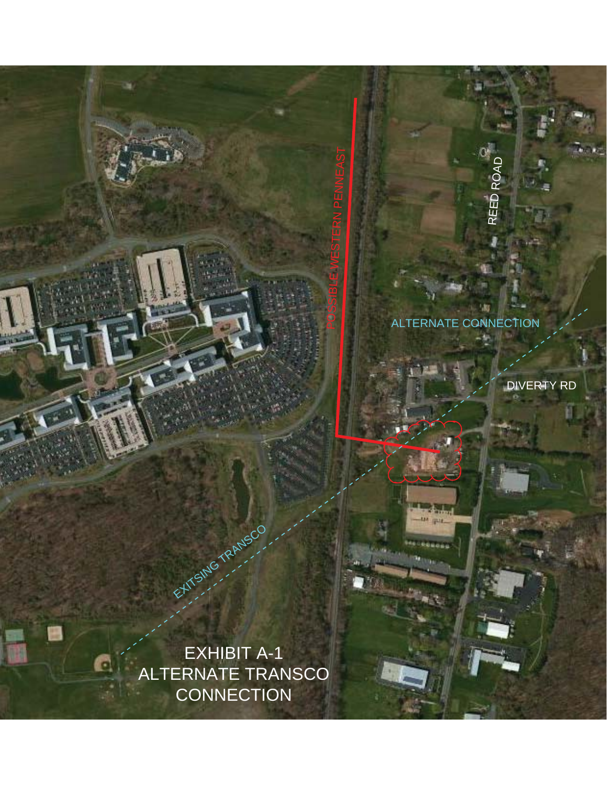

.m

REED ROAD

POSSIBLE WESTERN PENNEAST

DIVERTY RD

EXHIBIT A-1 ALTERNATE TRANSCO **CONNECTION** 

EXITSING TRANSCO